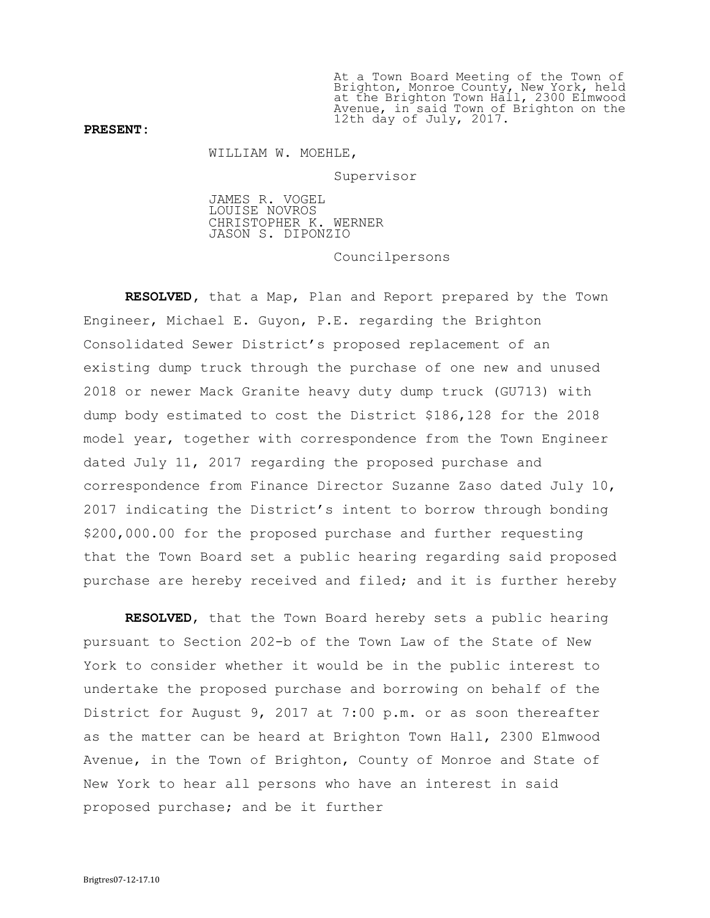At a Town Board Meeting of the Town of Brighton, Monroe County, New York, held at the Brighton Town Hall, 2300 Elmwood Avenue, in said Town of Brighton on the 12th day of July, 2017.

## PRESENT:

WILLIAM W. MOEHLE,

Supervisor

JAMES R. VOGEL LOUISE NOVROS CHRISTOPHER K. WERNER JASON S. DIPONZIO

Councilpersons

RESOLVED, that a Map, Plan and Report prepared by the Town Engineer, Michael E. Guyon, P.E. regarding the Brighton Consolidated Sewer District's proposed replacement of an existing dump truck through the purchase of one new and unused 2018 or newer Mack Granite heavy duty dump truck (GU713) with dump body estimated to cost the District \$186,128 for the 2018 model year, together with correspondence from the Town Engineer dated July 11, 2017 regarding the proposed purchase and correspondence from Finance Director Suzanne Zaso dated July 10, 2017 indicating the District's intent to borrow through bonding \$200,000.00 for the proposed purchase and further requesting that the Town Board set a public hearing regarding said proposed purchase are hereby received and filed; and it is further hereby

RESOLVED, that the Town Board hereby sets a public hearing pursuant to Section 202-b of the Town Law of the State of New York to consider whether it would be in the public interest to undertake the proposed purchase and borrowing on behalf of the District for August 9, 2017 at 7:00 p.m. or as soon thereafter as the matter can be heard at Brighton Town Hall, 2300 Elmwood Avenue, in the Town of Brighton, County of Monroe and State of New York to hear all persons who have an interest in said proposed purchase; and be it further